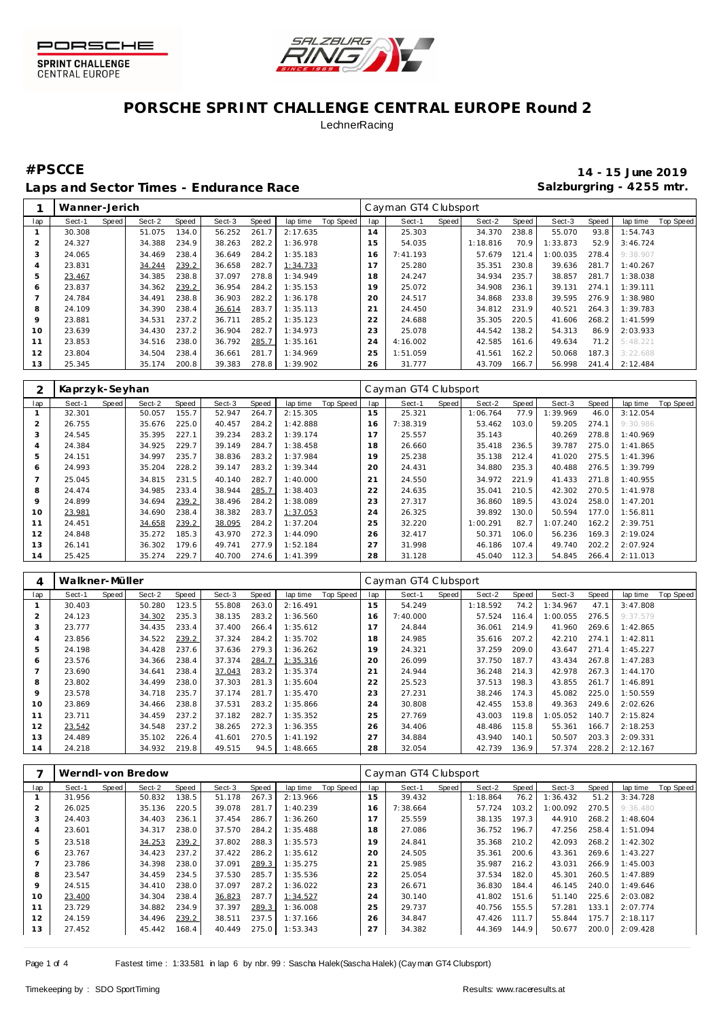



# **PORSCHE SPRINT CHALLENGE CENTRAL EUROPE Round 2 LechnerRacing**

### Laps and Sector Times - Endurance Race **Salzburgring - 4255 mtr.** Salzburgring - 4255 mtr.

**#PSCCE 14 - 15 June 2019**

|     | Wanner-Jerich |       |        |       |        |       |          |           |     | Cayman GT4 Clubsport |       |          |       |          |       |          |           |
|-----|---------------|-------|--------|-------|--------|-------|----------|-----------|-----|----------------------|-------|----------|-------|----------|-------|----------|-----------|
| lap | Sect-1        | Speed | Sect-2 | Speed | Sect-3 | Speed | lap time | Top Speed | lap | Sect-1               | Speed | Sect-2   | Speed | Sect-3   | Speed | lap time | Top Speed |
|     | 30.308        |       | 51.075 | 134.0 | 56.252 | 261.7 | 2:17.635 |           | 14  | 25.303               |       | 34.370   | 238.8 | 55.070   | 93.8  | 1:54.743 |           |
|     | 24.327        |       | 34.388 | 234.9 | 38.263 | 282.2 | 1:36.978 |           | 15  | 54.035               |       | 1:18.816 | 70.9  | 1:33.873 | 52.9  | 3:46.724 |           |
| 3   | 24.065        |       | 34.469 | 238.4 | 36.649 | 284.2 | 1:35.183 |           | 6   | 7:41.193             |       | 57.679   | 121.4 | 1:00.035 | 278.4 | 9:38.907 |           |
| 4   | 23.831        |       | 34.244 | 239.2 | 36.658 | 282.7 | 1:34.733 |           | 17  | 25.280               |       | 35.351   | 230.8 | 39.636   | 281.7 | 1:40.267 |           |
| 5   | 23.467        |       | 34.385 | 238.8 | 37.097 | 278.8 | 1:34.949 |           | 18  | 24.247               |       | 34.934   | 235.7 | 38.857   | 281.7 | 1:38.038 |           |
| Ô   | 23.837        |       | 34.362 | 239.2 | 36.954 | 284.2 | 1:35.153 |           | 19  | 25.072               |       | 34.908   | 236.1 | 39.131   | 274.1 | 1:39.111 |           |
|     | 24.784        |       | 34.491 | 238.8 | 36.903 | 282.2 | 1:36.178 |           | 20  | 24.517               |       | 34.868   | 233.8 | 39.595   | 276.9 | 1:38.980 |           |
| 8   | 24.109        |       | 34.390 | 238.4 | 36.614 | 283.7 | 1:35.113 |           | 21  | 24.450               |       | 34.812   | 231.9 | 40.521   | 264.3 | 1:39.783 |           |
| 9   | 23.881        |       | 34.531 | 237.2 | 36.711 | 285.2 | 1:35.123 |           | 22  | 24.688               |       | 35.305   | 220.5 | 41.606   | 268.2 | 1:41.599 |           |
| 10  | 23.639        |       | 34.430 | 237.2 | 36.904 | 282.7 | 1:34.973 |           | 23  | 25.078               |       | 44.542   | 138.2 | 54.313   | 86.9  | 2:03.933 |           |
| 11  | 23.853        |       | 34.516 | 238.0 | 36.792 | 285.7 | 1:35.161 |           | 24  | 4:16.002             |       | 42.585   | 161.6 | 49.634   | 71.2  | 5:48.221 |           |
| 12  | 23.804        |       | 34.504 | 238.4 | 36.661 | 281.7 | 1:34.969 |           | 25  | 1:51.059             |       | 41.561   | 162.2 | 50.068   | 187.3 | 3:22.688 |           |
| 13  | 25.345        |       | 35.174 | 200.8 | 39.383 | 278.8 | 1:39.902 |           | 26  | 31.777               |       | 43.709   | 166.7 | 56.998   | 241.4 | 2:12.484 |           |

| 2       | Kaprzyk-Seyhan |       |        |       |        |       |          |           |             | Cayman GT4 Clubsport |       |          |       |          |       |          |           |
|---------|----------------|-------|--------|-------|--------|-------|----------|-----------|-------------|----------------------|-------|----------|-------|----------|-------|----------|-----------|
| lap     | Sect-1         | Speed | Sect-2 | Speed | Sect-3 | Speed | lap time | Top Speed | lap         | Sect-1               | Speed | Sect-2   | Speed | Sect-3   | Speed | lap time | Top Speed |
|         | 32.301         |       | 50.057 | 155.7 | 52.947 | 264.7 | 2:15.305 |           | 15          | 25.321               |       | 1:06.764 | 77.9  | :39.969  | 46.0  | 3:12.054 |           |
| 2       | 26.755         |       | 35.676 | 225.0 | 40.457 | 284.2 | 1:42.888 |           | 16          | 7:38.319             |       | 53.462   | 103.0 | 59.205   | 274.1 | 9:30.986 |           |
| 3       | 24.545         |       | 35.395 | 227.1 | 39.234 | 283.2 | 1:39.174 |           |             | 25.557               |       | 35.143   |       | 40.269   | 278.8 | 1:40.969 |           |
| 4       | 24.384         |       | 34.925 | 229.7 | 39.149 | 284.7 | 1:38.458 |           | 18          | 26.660               |       | 35.418   | 236.5 | 39.787   | 275.0 | 1:41.865 |           |
| 5       | 24.151         |       | 34.997 | 235.7 | 38.836 | 283.2 | 1:37.984 |           | 19          | 25.238               |       | 35.138   | 212.4 | 41.020   | 275.5 | 1:41.396 |           |
| 6       | 24.993         |       | 35.204 | 228.2 | 39.147 | 283.2 | 1:39.344 |           | 20          | 24.431               |       | 34.880   | 235.3 | 40.488   | 276.5 | 1:39.799 |           |
|         | 25.045         |       | 34.815 | 231.5 | 40.140 | 282.7 | 1:40.000 |           | $2^{\cdot}$ | 24.550               |       | 34.972   | 221.9 | 41.433   | 271.8 | 1:40.955 |           |
| 8       | 24.474         |       | 34.985 | 233.4 | 38.944 | 285.7 | 1:38.403 |           | 22          | 24.635               |       | 35.041   | 210.5 | 42.302   | 270.5 | 1:41.978 |           |
| $\circ$ | 24.899         |       | 34.694 | 239.2 | 38.496 | 284.2 | 1:38.089 |           | 23          | 27.317               |       | 36.860   | 189.5 | 43.024   | 258.0 | 1:47.201 |           |
| 10      | 23.981         |       | 34.690 | 238.4 | 38.382 | 283.7 | 1:37.053 |           | 24          | 26.325               |       | 39.892   | 130.0 | 50.594   | 177.0 | 1:56.811 |           |
| 11      | 24.451         |       | 34.658 | 239.2 | 38.095 | 284.2 | 1:37.204 |           | 25          | 32.220               |       | 1:00.291 | 82.7  | 1:07.240 | 162.2 | 2:39.751 |           |
| 12      | 24.848         |       | 35.272 | 185.3 | 43.970 | 272.3 | 1:44.090 |           | 26          | 32.417               |       | 50.371   | 106.0 | 56.236   | 169.3 | 2:19.024 |           |
| 13      | 26.141         |       | 36.302 | 179.6 | 49.741 | 277.9 | 1:52.184 |           | 27          | 31.998               |       | 46.186   | 107.4 | 49.740   | 202.2 | 2:07.924 |           |
| 14      | 25.425         |       | 35.274 | 229.7 | 40.700 | 274.6 | 1:41.399 |           | 28          | 31.128               |       | 45.040   | 112.3 | 54.845   | 266.4 | 2:11.013 |           |

| 4              | Walkner-Müller |       |        |       |        |       |          |           |                | Cayman GT4 Clubsport |       |          |       |          |       |          |           |
|----------------|----------------|-------|--------|-------|--------|-------|----------|-----------|----------------|----------------------|-------|----------|-------|----------|-------|----------|-----------|
| lap            | Sect-1         | Speed | Sect-2 | Speed | Sect-3 | Speed | lap time | Top Speed | lap            | Sect-1               | Speed | Sect-2   | Speed | Sect-3   | Speed | lap time | Top Speed |
|                | 30.403         |       | 50.280 | 123.5 | 55.808 | 263.0 | 2:16.491 |           | 15             | 54.249               |       | 1:18.592 | 74.2  | 1:34.967 | 47.1  | 3:47.808 |           |
| $\overline{2}$ | 24.123         |       | 34.302 | 235.3 | 38.135 | 283.2 | 1:36.560 |           | 16             | 7:40.000             |       | 57.524   | 116.4 | 1:00.055 | 276.5 | 9:37.579 |           |
| 3              | 23.777         |       | 34.435 | 233.4 | 37.400 | 266.4 | 1:35.612 |           |                | 24.844               |       | 36.061   | 214.9 | 41.960   | 269.6 | 1:42.865 |           |
| 4              | 23.856         |       | 34.522 | 239.2 | 37.324 | 284.2 | 1:35.702 |           | 18             | 24.985               |       | 35.616   | 207.2 | 42.210   | 274.1 | 1:42.811 |           |
| 5              | 24.198         |       | 34.428 | 237.6 | 37.636 | 279.3 | 1:36.262 |           | 19             | 24.321               |       | 37.259   | 209.0 | 43.647   | 271.4 | 1:45.227 |           |
| 6              | 23.576         |       | 34.366 | 238.4 | 37.374 | 284.7 | 1:35.316 |           | 20             | 26.099               |       | 37.750   | 187.7 | 43.434   | 267.8 | 1:47.283 |           |
|                | 23.690         |       | 34.641 | 238.4 | 37.043 | 283.2 | 1:35.374 |           | 2 <sup>1</sup> | 24.944               |       | 36.248   | 214.3 | 42.978   | 267.3 | 1:44.170 |           |
| 8              | 23.802         |       | 34.499 | 238.0 | 37.303 | 281.3 | 1:35.604 |           | 22             | 25.523               |       | 37.513   | 198.3 | 43.855   | 261.7 | 1:46.891 |           |
| $\circ$        | 23.578         |       | 34.718 | 235.7 | 37.174 | 281.7 | 1:35.470 |           | 23             | 27.231               |       | 38.246   | 174.3 | 45.082   | 225.0 | 1:50.559 |           |
| 10             | 23.869         |       | 34.466 | 238.8 | 37.531 | 283.2 | 1:35.866 |           | 24             | 30.808               |       | 42.455   | 153.8 | 49.363   | 249.6 | 2:02.626 |           |
| 11             | 23.711         |       | 34.459 | 237.2 | 37.182 | 282.7 | 1:35.352 |           | 25             | 27.769               |       | 43.003   | 119.8 | 1:05.052 | 140.7 | 2:15.824 |           |
| 12             | 23.542         |       | 34.548 | 237.2 | 38.265 | 272.3 | 1:36.355 |           | 26             | 34.406               |       | 48.486   | 115.8 | 55.361   | 166.7 | 2:18.253 |           |
| 13             | 24.489         |       | 35.102 | 226.4 | 41.601 | 270.5 | 1:41.192 |           | 27             | 34.884               |       | 43.940   | 140.1 | 50.507   | 203.3 | 2:09.331 |           |
| 14             | 24.218         |       | 34.932 | 219.8 | 49.515 | 94.5  | 1:48.665 |           | 28             | 32.054               |       | 42.739   | 136.9 | 57.374   | 228.2 | 2:12.167 |           |

|     |        |       | Werndl-von Bredow |       |        |       |          |           |     | Cayman GT4 Clubsport |       |          |        |          |       |          |           |
|-----|--------|-------|-------------------|-------|--------|-------|----------|-----------|-----|----------------------|-------|----------|--------|----------|-------|----------|-----------|
| lap | Sect-1 | Speed | Sect-2            | Speed | Sect-3 | Speed | lap time | Top Speed | lap | Sect-1               | Speed | Sect-2   | Speed  | Sect-3   | Speed | lap time | Top Speed |
|     | 31.956 |       | 50.832            | 138.5 | 51.178 | 267.3 | 2:13.966 |           | 15  | 39.432               |       | 1:18.864 | 76.2   | 1:36.432 | 51.2  | 3:34.728 |           |
|     | 26.025 |       | 35.136            | 220.5 | 39.078 | 281.7 | 1:40.239 |           | 16  | 7:38.664             |       | 57.724   | 103.2  | 1:00.092 | 270.5 | 9:36.480 |           |
| 3   | 24.403 |       | 34.403            | 236.1 | 37.454 | 286.7 | 1:36.260 |           | 17  | 25.559               |       | 38.135   | 197.3  | 44.910   | 268.2 | 1:48.604 |           |
|     | 23.601 |       | 34.317            | 238.0 | 37.570 | 284.2 | 1:35.488 |           | 18  | 27.086               |       | 36.752   | 196.7  | 47.256   | 258.4 | 1:51.094 |           |
| 5   | 23.518 |       | 34.253            | 239.2 | 37.802 | 288.3 | 1:35.573 |           | 19  | 24.841               |       | 35.368   | 210.2  | 42.093   | 268.2 | 1:42.302 |           |
| 6   | 23.767 |       | 34.423            | 237.2 | 37.422 | 286.2 | 1:35.612 |           | 20  | 24.505               |       | 35.361   | 200.6  | 43.361   | 269.6 | 1:43.227 |           |
|     | 23.786 |       | 34.398            | 238.0 | 37.091 | 289.3 | 1:35.275 |           | 21  | 25.985               |       | 35.987   | 216.2  | 43.031   | 266.9 | 1:45.003 |           |
| 8   | 23.547 |       | 34.459            | 234.5 | 37.530 | 285.7 | 1:35.536 |           | 22  | 25.054               |       | 37.534   | 182.0  | 45.301   | 260.5 | 1:47.889 |           |
| 9   | 24.515 |       | 34.410            | 238.0 | 37.097 | 287.2 | 1:36.022 |           | 23  | 26.671               |       | 36.830   | 184.4  | 46.145   | 240.0 | 1:49.646 |           |
| 10  | 23.400 |       | 34.304            | 238.4 | 36.823 | 287.7 | 1:34.527 |           | 24  | 30.140               |       | 41.802   | 151.6  | 51.140   | 225.6 | 2:03.082 |           |
|     | 23.729 |       | 34.882            | 234.9 | 37.397 | 289.3 | 1:36.008 |           | 25  | 29.737               |       | 40.756   | 155.5  | 57.281   | 133.1 | 2:07.774 |           |
| 12  | 24.159 |       | 34.496            | 239.2 | 38.511 | 237.5 | 1:37.166 |           | 26  | 34.847               |       | 47.426   | 111.7  | 55.844   | 175.7 | 2:18.117 |           |
| 13  | 27.452 |       | 45.442            | 168.4 | 40.449 | 275.0 | 1:53.343 |           | 27  | 34.382               |       | 44.369   | 144.91 | 50.677   | 200.0 | 2:09.428 |           |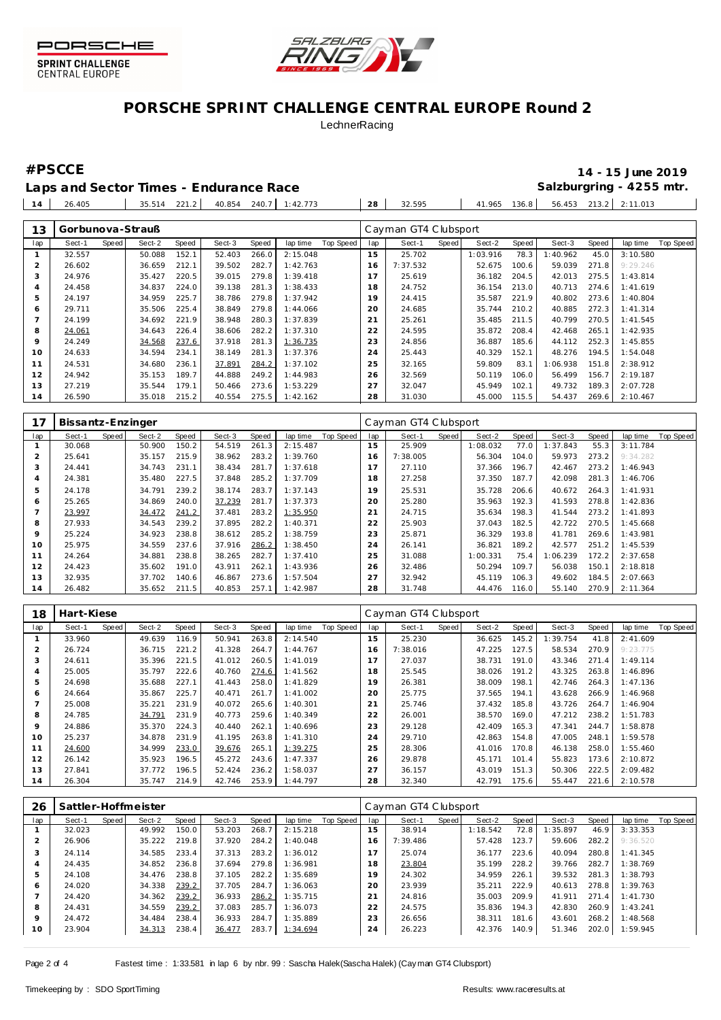

**CENTRAL EUROPE** 



# **PORSCHE SPRINT CHALLENGE CENTRAL EUROPE Round 2 LechnerRacing**

### Laps and Sector Times - Endurance Race **Salzburgring - 4255 mtr.** Salzburgring - 4255 mtr.

**#PSCCE 14 - 15 June 2019**

26.405 35.514 221.2 40.854 240.7 1:42.773 **28** 32.595 41.965 136.8 56.453 213.2 2:11.013

| 13  | Gorbunova-Strauß |       |        |       |        |       |          |           |     | Cayman GT4 Clubsport |       |          |       |          |       |          |                  |
|-----|------------------|-------|--------|-------|--------|-------|----------|-----------|-----|----------------------|-------|----------|-------|----------|-------|----------|------------------|
| lap | Sect-1           | Speed | Sect-2 | Speed | Sect-3 | Speed | lap time | Top Speed | lap | Sect-1               | Speed | Sect-2   | Speed | Sect-3   | Speed | lap time | <b>Top Speed</b> |
|     | 32.557           |       | 50.088 | 152.1 | 52.403 | 266.0 | 2:15.048 |           | 15  | 25.702               |       | 1:03.916 | 78.3  | 1:40.962 | 45.0  | 3:10.580 |                  |
|     | 26.602           |       | 36.659 | 212.1 | 39.502 | 282.7 | 1:42.763 |           | 16  | 7:37.532             |       | 52.675   | 100.6 | 59.039   | 271.8 | 9:29.246 |                  |
| 3   | 24.976           |       | 35.427 | 220.5 | 39.015 | 279.8 | 1:39.418 |           | 17  | 25.619               |       | 36.182   | 204.5 | 42.013   | 275.5 | 1:43.814 |                  |
| 4   | 24.458           |       | 34.837 | 224.0 | 39.138 | 281.3 | 1:38.433 |           | 18  | 24.752               |       | 36.154   | 213.0 | 40.713   | 274.6 | 1:41.619 |                  |
| 5   | 24.197           |       | 34.959 | 225.7 | 38.786 | 279.8 | 1:37.942 |           | 19  | 24.415               |       | 35.587   | 221.9 | 40.802   | 273.6 | 1:40.804 |                  |
| 6   | 29.711           |       | 35.506 | 225.4 | 38.849 | 279.8 | 1:44.066 |           | 20  | 24.685               |       | 35.744   | 210.2 | 40.885   | 272.3 | 1:41.314 |                  |
|     | 24.199           |       | 34.692 | 221.9 | 38.948 | 280.3 | 1:37.839 |           | 21  | 25.261               |       | 35.485   | 211.5 | 40.799   | 270.5 | 1:41.545 |                  |
| 8   | 24.061           |       | 34.643 | 226.4 | 38.606 | 282.2 | 1:37.310 |           | 22  | 24.595               |       | 35.872   | 208.4 | 42.468   | 265.1 | 1:42.935 |                  |
| 9   | 24.249           |       | 34.568 | 237.6 | 37.918 | 281.3 | 1:36.735 |           | 23  | 24.856               |       | 36.887   | 185.6 | 44.112   | 252.3 | 1:45.855 |                  |
| 10  | 24.633           |       | 34.594 | 234.1 | 38.149 | 281.3 | 1:37.376 |           | 24  | 25.443               |       | 40.329   | 152.1 | 48.276   | 194.5 | 1:54.048 |                  |
| 11  | 24.531           |       | 34.680 | 236.1 | 37.891 | 284.2 | 1:37.102 |           | 25  | 32.165               |       | 59.809   | 83.1  | 1:06.938 | 151.8 | 2:38.912 |                  |
| 12  | 24.942           |       | 35.153 | 189.7 | 44.888 | 249.2 | 1:44.983 |           | 26  | 32.569               |       | 50.119   | 106.0 | 56.499   | 156.7 | 2:19.187 |                  |
| 13  | 27.219           |       | 35.544 | 179.1 | 50.466 | 273.6 | 1:53.229 |           | 27  | 32.047               |       | 45.949   | 102.1 | 49.732   | 189.3 | 2:07.728 |                  |
| 14  | 26.590           |       | 35.018 | 215.2 | 40.554 | 275.5 | 1:42.162 |           | 28  | 31.030               |       | 45.000   | 115.5 | 54.437   | 269.6 | 2:10.467 |                  |

| 17  | Bissantz-Enzinger |       |        |       |        |       |          |           |     | Cayman GT4 Clubsport |       |          |       |          |       |          |           |
|-----|-------------------|-------|--------|-------|--------|-------|----------|-----------|-----|----------------------|-------|----------|-------|----------|-------|----------|-----------|
| lap | Sect-1            | Speed | Sect-2 | Speed | Sect-3 | Speed | lap time | Top Speed | lap | Sect-1               | Speed | Sect-2   | Speed | Sect-3   | Speed | lap time | Top Speed |
|     | 30.068            |       | 50.900 | 150.2 | 54.519 | 261.3 | 2:15.487 |           | 15  | 25.909               |       | 1:08.032 | 77.0  | 1:37.843 | 55.3  | 3:11.784 |           |
|     | 25.641            |       | 35.157 | 215.9 | 38.962 | 283.2 | 1:39.760 |           | 16  | 7:38.005             |       | 56.304   | 104.0 | 59.973   | 273.2 | 9:34.282 |           |
| 3   | 24.441            |       | 34.743 | 231.1 | 38.434 | 281.7 | 1:37.618 |           | 17  | 27.110               |       | 37.366   | 196.7 | 42.467   | 273.2 | 1:46.943 |           |
| 4   | 24.381            |       | 35.480 | 227.5 | 37.848 | 285.2 | 1:37.709 |           | 18  | 27.258               |       | 37.350   | 187.7 | 42.098   | 281.3 | 1:46.706 |           |
| 5   | 24.178            |       | 34.791 | 239.2 | 38.174 | 283.7 | 1:37.143 |           | 19  | 25.531               |       | 35.728   | 206.6 | 40.672   | 264.3 | 1:41.931 |           |
| 6   | 25.265            |       | 34.869 | 240.0 | 37.239 | 281.7 | 1:37.373 |           | 20  | 25.280               |       | 35.963   | 192.3 | 41.593   | 278.8 | 1:42.836 |           |
|     | 23.997            |       | 34.472 | 241.2 | 37.481 | 283.2 | 1:35.950 |           | 21  | 24.715               |       | 35.634   | 198.3 | 41.544   | 273.2 | 1:41.893 |           |
| 8   | 27.933            |       | 34.543 | 239.2 | 37.895 | 282.2 | 1:40.371 |           | 22  | 25.903               |       | 37.043   | 182.5 | 42.722   | 270.5 | 1:45.668 |           |
| 9   | 25.224            |       | 34.923 | 238.8 | 38.612 | 285.2 | 1:38.759 |           | 23  | 25.871               |       | 36.329   | 193.8 | 41.781   | 269.6 | 1:43.981 |           |
| 10  | 25.975            |       | 34.559 | 237.6 | 37.916 | 286.2 | 1:38.450 |           | 24  | 26.141               |       | 36.821   | 189.2 | 42.577   | 251.2 | 1:45.539 |           |
|     | 24.264            |       | 34.881 | 238.8 | 38.265 | 282.7 | 1:37.410 |           | 25  | 31.088               |       | 1:00.331 | 75.4  | 1:06.239 | 172.2 | 2:37.658 |           |
| 12  | 24.423            |       | 35.602 | 191.0 | 43.911 | 262.1 | 1:43.936 |           | 26  | 32.486               |       | 50.294   | 109.7 | 56.038   | 150.1 | 2:18.818 |           |
| 13  | 32.935            |       | 37.702 | 140.6 | 46.867 | 273.6 | 1:57.504 |           | 27  | 32.942               |       | 45.119   | 106.3 | 49.602   | 184.5 | 2:07.663 |           |
| 14  | 26.482            |       | 35.652 | 211.5 | 40.853 | 257.1 | 1:42.987 |           | 28  | 31.748               |       | 44.476   | 116.0 | 55.140   | 270.9 | 2:11.364 |           |

| 18  | Hart-Kiese |       |        |       |        |       |          |           |     | Cayman GT4 Clubsport |       |        |       |          |       |          |           |
|-----|------------|-------|--------|-------|--------|-------|----------|-----------|-----|----------------------|-------|--------|-------|----------|-------|----------|-----------|
| lap | Sect-1     | Speed | Sect-2 | Speed | Sect-3 | Speed | lap time | Top Speed | lap | Sect-1               | Speed | Sect-2 | Speed | Sect-3   | Speed | lap time | Top Speed |
|     | 33.960     |       | 49.639 | 116.9 | 50.941 | 263.8 | 2:14.540 |           | 15  | 25.230               |       | 36.625 | 145.2 | 1:39.754 | 41.8  | 2:41.609 |           |
|     | 26.724     |       | 36.715 | 221.2 | 41.328 | 264.7 | 1:44.767 |           | 16  | 7:38.016             |       | 47.225 | 127.5 | 58.534   | 270.9 | 9:23.775 |           |
| 3   | 24.611     |       | 35.396 | 221.5 | 41.012 | 260.5 | 1:41.019 |           |     | 27.037               |       | 38.731 | 191.0 | 43.346   | 271.4 | 1:49.114 |           |
| 4   | 25.005     |       | 35.797 | 222.6 | 40.760 | 274.6 | 1:41.562 |           | 18  | 25.545               |       | 38.026 | 191.2 | 43.325   | 263.8 | 1:46.896 |           |
| 5   | 24.698     |       | 35.688 | 227.1 | 41.443 | 258.0 | 1:41.829 |           | 19  | 26.381               |       | 38.009 | 198.1 | 42.746   | 264.3 | 1:47.136 |           |
| 6   | 24.664     |       | 35.867 | 225.7 | 40.471 | 261.7 | 1:41.002 |           | 20  | 25.775               |       | 37.565 | 194.1 | 43.628   | 266.9 | 1:46.968 |           |
|     | 25.008     |       | 35.221 | 231.9 | 40.072 | 265.6 | 1:40.301 |           | 21  | 25.746               |       | 37.432 | 185.8 | 43.726   | 264.7 | 1:46.904 |           |
| 8   | 24.785     |       | 34.791 | 231.9 | 40.773 | 259.6 | 1:40.349 |           | 22  | 26.001               |       | 38.570 | 169.0 | 47.212   | 238.2 | 1:51.783 |           |
| 9   | 24.886     |       | 35.370 | 224.3 | 40.440 | 262.1 | 1:40.696 |           | 23  | 29.128               |       | 42.409 | 165.3 | 47.341   | 244.7 | 1:58.878 |           |
| 10  | 25.237     |       | 34.878 | 231.9 | 41.195 | 263.8 | 1:41.310 |           | 24  | 29.710               |       | 42.863 | 154.8 | 47.005   | 248.1 | 1:59.578 |           |
| 11  | 24.600     |       | 34.999 | 233.0 | 39.676 | 265.1 | 1:39.275 |           | 25  | 28.306               |       | 41.016 | 170.8 | 46.138   | 258.0 | 1:55.460 |           |
| 12  | 26.142     |       | 35.923 | 196.5 | 45.272 | 243.6 | 1:47.337 |           | 26  | 29.878               |       | 45.171 | 101.4 | 55.823   | 173.6 | 2:10.872 |           |
| 13  | 27.841     |       | 37.772 | 196.5 | 52.424 | 236.2 | 1:58.037 |           | 27  | 36.157               |       | 43.019 | 151.3 | 50.306   | 222.5 | 2:09.482 |           |
| 14  | 26.304     |       | 35.747 | 214.9 | 42.746 | 253.9 | 1:44.797 |           | 28  | 32.340               |       | 42.791 | 175.6 | 55.447   | 221.6 | 2:10.578 |           |

| 26  | Sattler-Hoffmeister |       |        |       |        |       |          |           |     | Cayman GT4 Clubsport |       |          |       |          |       |          |           |
|-----|---------------------|-------|--------|-------|--------|-------|----------|-----------|-----|----------------------|-------|----------|-------|----------|-------|----------|-----------|
| lap | Sect-1              | Speed | Sect-2 | Speed | Sect-3 | Speed | lap time | Top Speed | lap | Sect-1               | Speed | Sect-2   | Speed | Sect-3   | Speed | lap time | Top Speed |
|     | 32.023              |       | 49.992 | 150.0 | 53.203 | 268.7 | 2:15.218 |           | 15  | 38.914               |       | 1:18.542 | 72.8  | 1:35.897 | 46.9  | 3:33.353 |           |
| 2   | 26.906              |       | 35.222 | 219.8 | 37.920 | 284.2 | 1:40.048 |           | 6   | 7:39.486             |       | 57.428   | 123.7 | 59.606   | 282.2 | 9:36.520 |           |
| 3   | 24.114              |       | 34.585 | 233.4 | 37.313 | 283.2 | 1:36.012 |           |     | 25.074               |       | 36.177   | 223.6 | 40.094   | 280.8 | 1:41.345 |           |
| 4   | 24.435              |       | 34.852 | 236.8 | 37.694 | 279.8 | 1:36.981 |           | 8   | 23.804               |       | 35.199   | 228.2 | 39.766   | 282.7 | 1:38.769 |           |
| 5   | 24.108              |       | 34.476 | 238.8 | 37.105 | 282.2 | 1:35.689 |           | 19  | 24.302               |       | 34.959   | 226.1 | 39.532   | 281.3 | 1:38.793 |           |
| 6   | 24.020              |       | 34.338 | 239.2 | 37.705 | 284.7 | 1:36.063 |           | 20  | 23.939               |       | 35.211   | 222.9 | 40.613   | 278.8 | 1:39.763 |           |
|     | 24.420              |       | 34.362 | 239.2 | 36.933 | 286.2 | 1:35.715 |           | 21  | 24.816               |       | 35.003   | 209.9 | 41.911   | 271.4 | 1:41.730 |           |
| 8   | 24.431              |       | 34.559 | 239.2 | 37.083 | 285.7 | 1:36.073 |           | 22  | 24.575               |       | 35.836   | 194.3 | 42.830   | 260.9 | 1:43.241 |           |
| 9   | 24.472              |       | 34.484 | 238.4 | 36.933 | 284.7 | 1:35.889 |           | 23  | 26.656               |       | 38.311   | 181.6 | 43.601   | 268.2 | 1:48.568 |           |
| 10  | 23.904              |       | 34.313 | 238.4 | 36.477 | 283.7 | 1:34.694 |           | 24  | 26.223               |       | 42.376   | 140.9 | 51.346   | 202.0 | 1:59.945 |           |

Page 2 of 4 Fastest time : 1:33.581 in lap 6 by nbr. 99 : Sascha Halek(Sascha Halek) (Cay man GT4 Clubsport)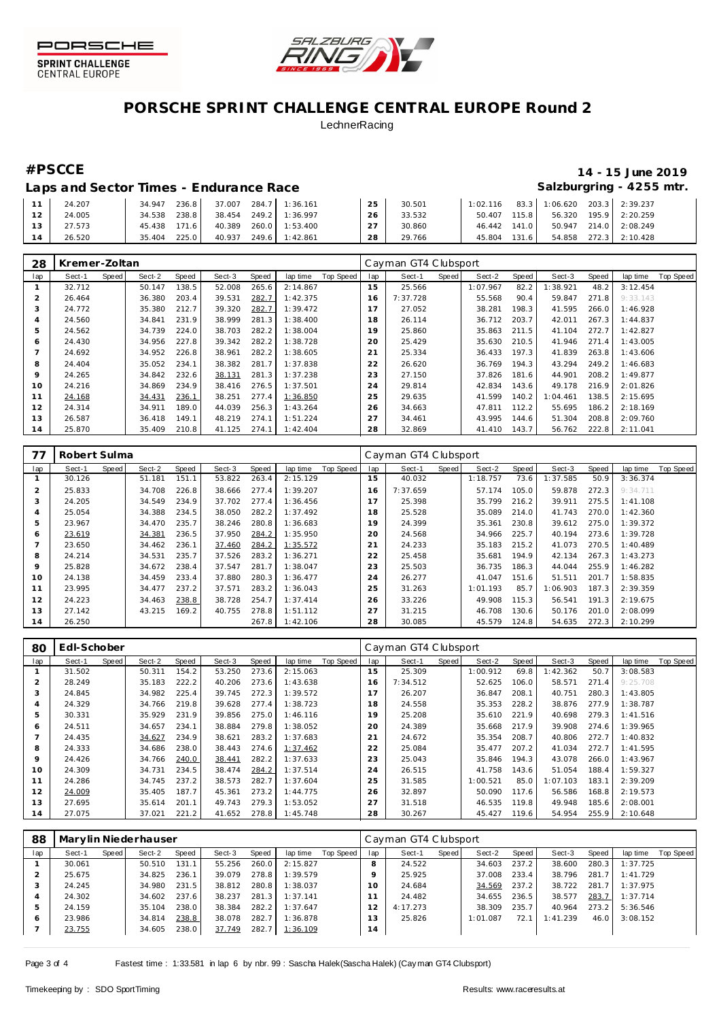



# **PORSCHE SPRINT CHALLENGE CENTRAL EUROPE Round 2 LechnerRacing**

# **#PSCCE 14 - 15 June 2019**

# Laps and Sector Times - Endurance Race **Salzburgring - 4255 mtr.** Salzburgring - 4255 mtr.

| 24.207 | 236.8<br>34.947 | 37.007<br>284.7 | 1:36.161       | 25        | 30.501 | 1:02.116     |       | 83.3 1:06.620 | 203.3 2:39.237        |
|--------|-----------------|-----------------|----------------|-----------|--------|--------------|-------|---------------|-----------------------|
| 24.005 | 238.8<br>34.538 | 249.2<br>38.454 | 1:36.997       | 26        | 33.532 | 50.407       | 115.8 | 56.320        | 195.9 2:20.259        |
| 27.573 | 171.6<br>45.438 | 40.389          | 260.0 1:53.400 | $\bigcap$ | 30.860 | 46.442 141.0 |       |               | 50.947 214.0 2:08.249 |
| 26.520 | 225.0<br>35.404 | 40.937          | 249.6 1:42.861 | 28        | 29.766 | 45.804       | 131.6 |               | 54.858 272.3 2:10.428 |

| 28      | Kremer-Zoltan |       |        |       |        |       |          |           |     | Cayman GT4 Clubsport |       |          |       |          |       |          |           |
|---------|---------------|-------|--------|-------|--------|-------|----------|-----------|-----|----------------------|-------|----------|-------|----------|-------|----------|-----------|
| lap     | Sect-1        | Speed | Sect-2 | Speed | Sect-3 | Speed | lap time | Top Speed | lap | Sect-1               | Speed | Sect-2   | Speed | Sect-3   | Speed | lap time | Top Speed |
|         | 32.712        |       | 50.147 | 138.5 | 52.008 | 265.6 | 2:14.867 |           | 15  | 25.566               |       | 1:07.967 | 82.2  | :38.921  | 48.2  | 3:12.454 |           |
|         | 26.464        |       | 36.380 | 203.4 | 39.531 | 282.7 | 1:42.375 |           | 16  | 7:37.728             |       | 55.568   | 90.4  | 59.847   | 271.8 | 9:33.143 |           |
| 3       | 24.772        |       | 35.380 | 212.7 | 39.320 | 282.7 | 1:39.472 |           |     | 27.052               |       | 38.281   | 198.3 | 41.595   | 266.0 | 1:46.928 |           |
|         | 24.560        |       | 34.841 | 231.9 | 38.999 | 281.3 | 1:38.400 |           | 18  | 26.114               |       | 36.712   | 203.7 | 42.011   | 267.3 | 1:44.837 |           |
| 5       | 24.562        |       | 34.739 | 224.0 | 38.703 | 282.2 | 1:38.004 |           | 19  | 25.860               |       | 35.863   | 211.5 | 41.104   | 272.7 | 1:42.827 |           |
| Ô       | 24.430        |       | 34.956 | 227.8 | 39.342 | 282.2 | 1:38.728 |           | 20  | 25.429               |       | 35.630   | 210.5 | 41.946   | 271.4 | 1:43.005 |           |
|         | 24.692        |       | 34.952 | 226.8 | 38.961 | 282.2 | 1:38.605 |           | 21  | 25.334               |       | 36.433   | 197.3 | 41.839   | 263.8 | 1:43.606 |           |
| 8       | 24.404        |       | 35.052 | 234.1 | 38.382 | 281.7 | 1:37.838 |           | 22  | 26.620               |       | 36.769   | 194.3 | 43.294   | 249.2 | 1:46.683 |           |
| $\circ$ | 24.265        |       | 34.842 | 232.6 | 38.131 | 281.3 | 1:37.238 |           | 23  | 27.150               |       | 37.826   | 181.6 | 44.901   | 208.2 | 1:49.877 |           |
| 10      | 24.216        |       | 34.869 | 234.9 | 38.416 | 276.5 | 1:37.501 |           | 24  | 29.814               |       | 42.834   | 143.6 | 49.178   | 216.9 | 2:01.826 |           |
| 11      | 24.168        |       | 34.431 | 236.1 | 38.251 | 277.4 | 1:36.850 |           | 25  | 29.635               |       | 41.599   | 140.2 | : 04.461 | 138.5 | 2:15.695 |           |
| 12      | 24.314        |       | 34.911 | 189.0 | 44.039 | 256.3 | 1:43.264 |           | 26  | 34.663               |       | 47.811   | 112.2 | 55.695   | 186.2 | 2:18.169 |           |
| 13      | 26.587        |       | 36.418 | 149.1 | 48.219 | 274.1 | 1:51.224 |           | 27  | 34.461               |       | 43.995   | 144.6 | 51.304   | 208.8 | 2:09.760 |           |
| 14      | 25.870        |       | 35.409 | 210.8 | 41.125 | 274.1 | 1:42.404 |           | 28  | 32.869               |       | 41.410   | 143.7 | 56.762   | 222.8 | 2:11.041 |           |

| 77  | Robert Sulma |       |        |       |        |       |          |           |     | Cayman GT4 Clubsport |       |          |       |          |       |          |           |
|-----|--------------|-------|--------|-------|--------|-------|----------|-----------|-----|----------------------|-------|----------|-------|----------|-------|----------|-----------|
| lap | Sect-1       | Speed | Sect-2 | Speed | Sect-3 | Speed | lap time | Top Speed | lap | Sect-1               | Speed | Sect-2   | Speed | Sect-3   | Speed | lap time | Top Speed |
|     | 30.126       |       | 51.181 | 151.1 | 53.822 | 263.4 | 2:15.129 |           | 15  | 40.032               |       | 1:18.757 | 73.6  | : 37.585 | 50.9  | 3:36.374 |           |
| 2   | 25.833       |       | 34.708 | 226.8 | 38.666 | 277.4 | 1:39.207 |           | 16  | 7:37.659             |       | 57.174   | 105.0 | 59.878   | 272.3 | 9:34.711 |           |
| 3   | 24.205       |       | 34.549 | 234.9 | 37.702 | 277.4 | 1:36.456 |           |     | 25.398               |       | 35.799   | 216.2 | 39.911   | 275.5 | 1:41.108 |           |
| 4   | 25.054       |       | 34.388 | 234.5 | 38.050 | 282.2 | 1:37.492 |           | 18  | 25.528               |       | 35.089   | 214.0 | 41.743   | 270.0 | 1:42.360 |           |
| 5   | 23.967       |       | 34.470 | 235.7 | 38.246 | 280.8 | 1:36.683 |           | 19  | 24.399               |       | 35.361   | 230.8 | 39.612   | 275.0 | 1:39.372 |           |
| 6   | 23.619       |       | 34.381 | 236.5 | 37.950 | 284.2 | 1:35.950 |           | 20  | 24.568               |       | 34.966   | 225.7 | 40.194   | 273.6 | 1:39.728 |           |
|     | 23.650       |       | 34.462 | 236.1 | 37.460 | 284.2 | 1:35.572 |           | 21  | 24.233               |       | 35.183   | 215.2 | 41.073   | 270.5 | 1:40.489 |           |
| 8   | 24.214       |       | 34.531 | 235.7 | 37.526 | 283.2 | 1:36.271 |           | 22  | 25.458               |       | 35.681   | 194.9 | 42.134   | 267.3 | 1:43.273 |           |
| 9   | 25.828       |       | 34.672 | 238.4 | 37.547 | 281.7 | 1:38.047 |           | 23  | 25.503               |       | 36.735   | 186.3 | 44.044   | 255.9 | 1:46.282 |           |
| 10  | 24.138       |       | 34.459 | 233.4 | 37.880 | 280.3 | 1:36.477 |           | 24  | 26.277               |       | 41.047   | 151.6 | 51.511   | 201.7 | 1:58.835 |           |
| 11  | 23.995       |       | 34.477 | 237.2 | 37.571 | 283.2 | 1:36.043 |           | 25  | 31.263               |       | 1:01.193 | 85.7  | 1:06.903 | 187.3 | 2:39.359 |           |
| 12  | 24.223       |       | 34.463 | 238.8 | 38.728 | 254.7 | 1:37.414 |           | 26  | 33.226               |       | 49.908   | 115.3 | 56.541   | 191.3 | 2:19.675 |           |
| 13  | 27.142       |       | 43.215 | 169.2 | 40.755 | 278.8 | 1:51.112 |           | 27  | 31.215               |       | 46.708   | 130.6 | 50.176   | 201.0 | 2:08.099 |           |
| 14  | 26.250       |       |        |       |        | 267.8 | 1:42.106 |           | 28  | 30.085               |       | 45.579   | 124.8 | 54.635   | 272.3 | 2:10.299 |           |

| 80             | Edl-Schober |       |        |       |        |       |          |           |     | Cayman GT4 Clubsport |       |          |       |          |       |          |           |
|----------------|-------------|-------|--------|-------|--------|-------|----------|-----------|-----|----------------------|-------|----------|-------|----------|-------|----------|-----------|
| lap            | Sect-1      | Speed | Sect-2 | Speed | Sect-3 | Speed | lap time | Top Speed | lap | Sect-1               | Speed | Sect-2   | Speed | Sect-3   | Speed | lap time | Top Speed |
|                | 31.502      |       | 50.311 | 154.2 | 53.250 | 273.6 | 2:15.063 |           | 15  | 25.309               |       | 1:00.912 | 69.8  | 1:42.362 | 50.7  | 3:08.583 |           |
| $\overline{2}$ | 28.249      |       | 35.183 | 222.2 | 40.206 | 273.6 | 1:43.638 |           | 16  | 7:34.512             |       | 52.625   | 106.0 | 58.571   | 271.4 | 9:25.708 |           |
| 3              | 24.845      |       | 34.982 | 225.4 | 39.745 | 272.3 | 1:39.572 |           |     | 26.207               |       | 36.847   | 208.1 | 40.751   | 280.3 | 1:43.805 |           |
| 4              | 24.329      |       | 34.766 | 219.8 | 39.628 | 277.4 | 1:38.723 |           | 18  | 24.558               |       | 35.353   | 228.2 | 38.876   | 277.9 | 1:38.787 |           |
| 5              | 30.331      |       | 35.929 | 231.9 | 39.856 | 275.0 | 1:46.116 |           | 19  | 25.208               |       | 35.610   | 221.9 | 40.698   | 279.3 | 1:41.516 |           |
| 6              | 24.511      |       | 34.657 | 234.1 | 38.884 | 279.8 | 1:38.052 |           | 20  | 24.389               |       | 35.668   | 217.9 | 39.908   | 274.6 | 1:39.965 |           |
|                | 24.435      |       | 34.627 | 234.9 | 38.621 | 283.2 | 1:37.683 |           | 21  | 24.672               |       | 35.354   | 208.7 | 40.806   | 272.7 | 1:40.832 |           |
| 8              | 24.333      |       | 34.686 | 238.0 | 38.443 | 274.6 | 1:37.462 |           | 22  | 25.084               |       | 35.477   | 207.2 | 41.034   | 272.7 | 1:41.595 |           |
| 9              | 24.426      |       | 34.766 | 240.0 | 38.441 | 282.2 | 1:37.633 |           | 23  | 25.043               |       | 35.846   | 194.3 | 43.078   | 266.0 | 1:43.967 |           |
| 10             | 24.309      |       | 34.731 | 234.5 | 38.474 | 284.2 | 1:37.514 |           | 24  | 26.515               |       | 41.758   | 143.6 | 51.054   | 188.4 | 1:59.327 |           |
| 11             | 24.286      |       | 34.745 | 237.2 | 38.573 | 282.7 | 1:37.604 |           | 25  | 31.585               |       | 1:00.521 | 85.0  | 1:07.103 | 183.1 | 2:39.209 |           |
| 12             | 24.009      |       | 35.405 | 187.7 | 45.361 | 273.2 | 1:44.775 |           | 26  | 32.897               |       | 50.090   | 117.6 | 56.586   | 168.8 | 2:19.573 |           |
| 13             | 27.695      |       | 35.614 | 201.1 | 49.743 | 279.3 | 1:53.052 |           | 27  | 31.518               |       | 46.535   | 119.8 | 49.948   | 185.6 | 2:08.001 |           |
| 14             | 27.075      |       | 37.021 | 221.2 | 41.652 | 278.8 | 1:45.748 |           | 28  | 30.267               |       | 45.427   | 119.6 | 54.954   | 255.9 | 2:10.648 |           |

| 88  | Marylin Niederhauser |       |        |       |        |       |          |           | Cayman GT4 Clubsport |          |       |          |       |           |       |          |           |  |
|-----|----------------------|-------|--------|-------|--------|-------|----------|-----------|----------------------|----------|-------|----------|-------|-----------|-------|----------|-----------|--|
| lap | Sect-1               | Speed | Sect-2 | Speed | Sect-3 | Speed | lap time | Top Speed | lap                  | Sect-1   | Speed | Sect-2   | Speed | Sect-3    | Speed | lap time | Top Speed |  |
|     | 30.061               |       | 50.510 | 131.1 | 55.256 | 260.0 | 2:15.827 |           | 8                    | 24.522   |       | 34.603   | 237.2 | 38.600    | 280.3 | 1:37.725 |           |  |
|     | 25.675               |       | 34.825 | 236.1 | 39.079 | 278.8 | 1:39.579 |           | Q                    | 25.925   |       | 37.008   | 233.4 | 38.796    | 281.7 | 1:41.729 |           |  |
|     | 24.245               |       | 34.980 | 231.5 | 38.812 | 280.8 | 1:38.037 |           | 10                   | 24.684   |       | 34.569   | 237.2 | 38.722    | 281.7 | 1:37.975 |           |  |
| 4   | 24.302               |       | 34.602 | 237.6 | 38.237 | 281.3 | 1:37.141 |           |                      | 24.482   |       | 34.655   | 236.5 | 38.577    | 283.7 | 1:37.714 |           |  |
| 5   | 24.159               |       | 35.104 | 238.0 | 38.384 | 282.2 | 1:37.647 |           |                      | 4:17.273 |       | 38.309   | 235.7 | 40.964    | 273.2 | 5:36.546 |           |  |
|     | 23.986               |       | 34.814 | 238.8 | 38.078 | 282.7 | 1:36.878 |           |                      | 25.826   |       | 1:01.087 | 72.1  | I: 41.239 | 46.0  | 3:08.152 |           |  |
|     | 23.755               |       | 34.605 | 238.0 | 37.749 | 282.7 | 1:36.109 |           | 14                   |          |       |          |       |           |       |          |           |  |